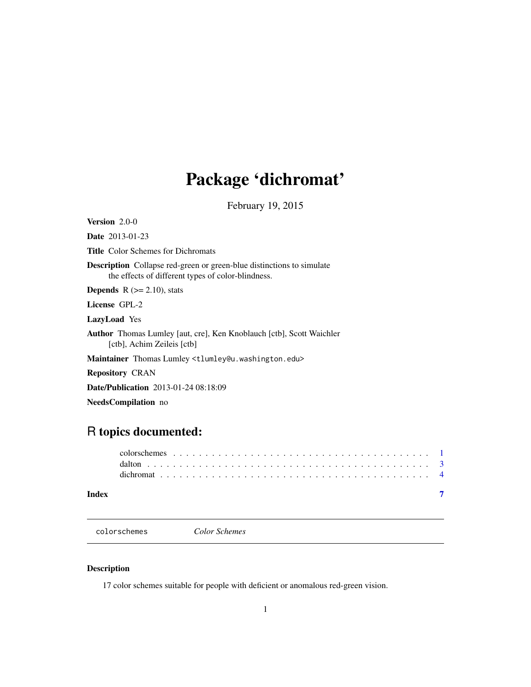## <span id="page-0-0"></span>Package 'dichromat'

February 19, 2015

<span id="page-0-1"></span>Version 2.0-0 Date 2013-01-23

Title Color Schemes for Dichromats

Description Collapse red-green or green-blue distinctions to simulate the effects of different types of color-blindness.

**Depends**  $R$  ( $>= 2.10$ ), stats

License GPL-2

LazyLoad Yes

Author Thomas Lumley [aut, cre], Ken Knoblauch [ctb], Scott Waichler [ctb], Achim Zeileis [ctb]

Maintainer Thomas Lumley <tlumley@u.washington.edu>

Repository CRAN

Date/Publication 2013-01-24 08:18:09

NeedsCompilation no

### R topics documented:

| Index |  |  |  |  |  |  |  |  |  |  |  |  |  |  |  |  |  |  |
|-------|--|--|--|--|--|--|--|--|--|--|--|--|--|--|--|--|--|--|
|       |  |  |  |  |  |  |  |  |  |  |  |  |  |  |  |  |  |  |
|       |  |  |  |  |  |  |  |  |  |  |  |  |  |  |  |  |  |  |

colorschemes *Color Schemes*

#### Description

17 color schemes suitable for people with deficient or anomalous red-green vision.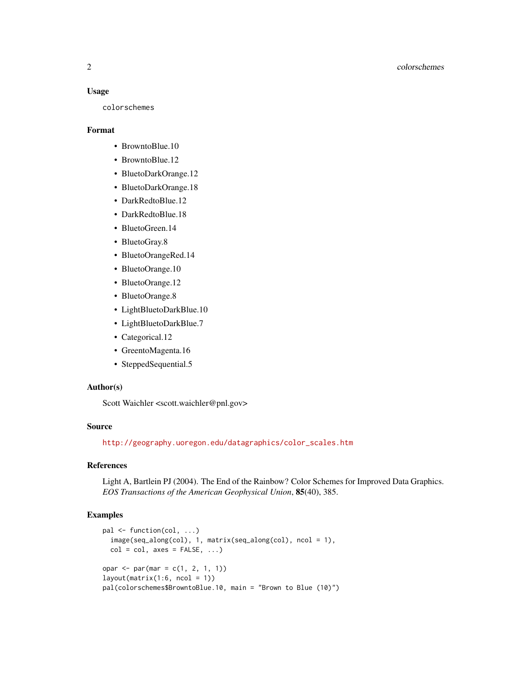#### Usage

colorschemes

#### Format

- BrowntoBlue.10
- BrowntoBlue.12
- BluetoDarkOrange.12
- BluetoDarkOrange.18
- DarkRedtoBlue.12
- DarkRedtoBlue.18
- BluetoGreen.14
- BluetoGray.8
- BluetoOrangeRed.14
- BluetoOrange.10
- BluetoOrange.12
- BluetoOrange.8
- LightBluetoDarkBlue.10
- LightBluetoDarkBlue.7
- Categorical.12
- GreentoMagenta.16
- SteppedSequential.5

#### Author(s)

Scott Waichler <scott.waichler@pnl.gov>

#### Source

[http://geography.uoregon.edu/datagraphics/color\\_scales.htm](http://geography.uoregon.edu/datagraphics/color_scales.htm)

#### References

Light A, Bartlein PJ (2004). The End of the Rainbow? Color Schemes for Improved Data Graphics. *EOS Transactions of the American Geophysical Union*, 85(40), 385.

#### Examples

```
pal <- function(col, ...)
 image(seq_along(col), 1, matrix(seq_along(col), ncol = 1),
 col = col, axes = FALSE, ...)opar \leq par(mar = c(1, 2, 1, 1))
layout(matrix(1:6, ncol = 1))pal(colorschemes$BrowntoBlue.10, main = "Brown to Blue (10)")
```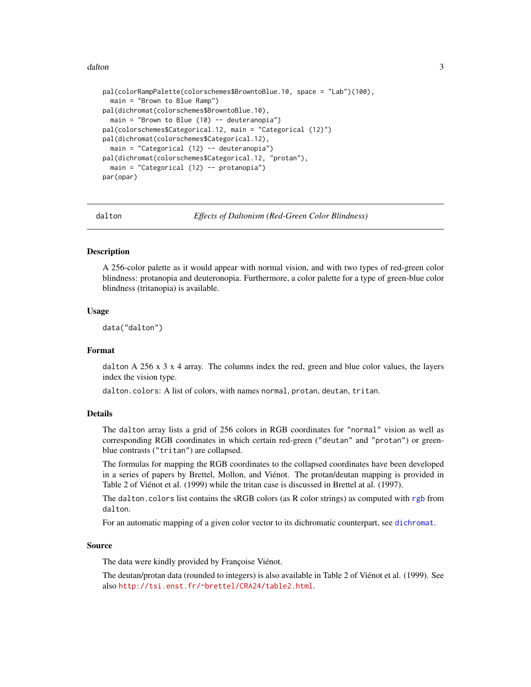#### <span id="page-2-0"></span>dalton 3 and 3 and 3 and 3 and 3 and 3 and 3 and 3 and 3 and 3 and 3 and 3 and 3 and 3 and 3 and 3 and 3 and 3 and 3 and 3 and 3 and 3 and 3 and 3 and 3 and 3 and 3 and 3 and 3 and 3 and 3 and 3 and 3 and 3 and 3 and 3 and

```
pal(colorRampPalette(colorschemes$BrowntoBlue.10, space = "Lab")(100),
 main = "Brown to Blue Ramp")
pal(dichromat(colorschemes$BrowntoBlue.10),
 main = "Brown to Blue (10) -- deuteranopia")
pal(colorschemes$Categorical.12, main = "Categorical (12)")
pal(dichromat(colorschemes$Categorical.12),
 main = "Categorical (12) -- deuteranopia")
pal(dichromat(colorschemes$Categorical.12, "protan"),
 main = "Categorical (12) -- protanopia")
par(opar)
```
<span id="page-2-1"></span>

dalton *Effects of Daltonism (Red-Green Color Blindness)*

#### **Description**

A 256-color palette as it would appear with normal vision, and with two types of red-green color blindness: protanopia and deuteronopia. Furthermore, a color palette for a type of green-blue color blindness (tritanopia) is available.

#### Usage

data("dalton")

#### Format

dalton A 256  $x$  3  $x$  4 array. The columns index the red, green and blue color values, the layers index the vision type.

dalton.colors: A list of colors, with names normal, protan, deutan, tritan.

#### Details

The dalton array lists a grid of 256 colors in RGB coordinates for "normal" vision as well as corresponding RGB coordinates in which certain red-green ("deutan" and "protan") or greenblue contrasts ("tritan") are collapsed.

The formulas for mapping the RGB coordinates to the collapsed coordinates have been developed in a series of papers by Brettel, Mollon, and Viénot. The protan/deutan mapping is provided in Table 2 of Viénot et al. (1999) while the tritan case is discussed in Brettel at al. (1997).

The dalton.colors list contains the sRGB colors (as R color strings) as computed with [rgb](#page-0-1) from dalton.

For an automatic mapping of a given color vector to its dichromatic counterpart, see [dichromat](#page-3-1).

#### Source

The data were kindly provided by Françoise Viénot.

The deutan/protan data (rounded to integers) is also available in Table 2 of Viénot et al. (1999). See also <http://tsi.enst.fr/~brettel/CRA24/table2.html>.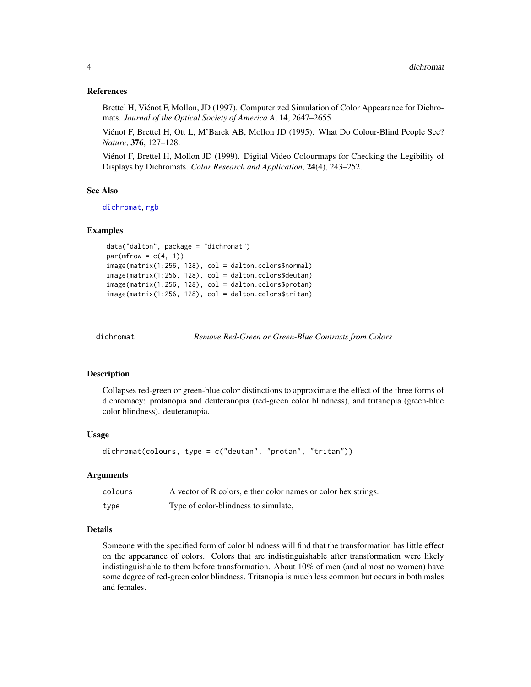#### <span id="page-3-0"></span>References

Brettel H, Viénot F, Mollon, JD (1997). Computerized Simulation of Color Appearance for Dichromats. *Journal of the Optical Society of America A*, 14, 2647–2655.

Viénot F, Brettel H, Ott L, M'Barek AB, Mollon JD (1995). What Do Colour-Blind People See? *Nature*, 376, 127–128.

Viénot F, Brettel H, Mollon JD (1999). Digital Video Colourmaps for Checking the Legibility of Displays by Dichromats. *Color Research and Application*, 24(4), 243–252.

#### See Also

[dichromat](#page-3-1), [rgb](#page-0-1)

#### Examples

```
data("dalton", package = "dichromat")
par(mfrow = c(4, 1))
image(matrix(1:256, 128), col = dalton.colors$normal)
image(matrix(1:256, 128), col = dalton.colors$deutan)
image(matrix(1:256, 128), col = dalton.colors$protan)
image(matrix(1:256, 128), col = dalton.colors$tritan)
```
<span id="page-3-1"></span>

dichromat *Remove Red-Green or Green-Blue Contrasts from Colors*

#### **Description**

Collapses red-green or green-blue color distinctions to approximate the effect of the three forms of dichromacy: protanopia and deuteranopia (red-green color blindness), and tritanopia (green-blue color blindness). deuteranopia.

#### Usage

```
dichromat(colours, type = c("deutan", "protan", "tritan"))
```
#### Arguments

| colours | A vector of R colors, either color names or color hex strings. |
|---------|----------------------------------------------------------------|
| type    | Type of color-blindness to simulate,                           |

#### Details

Someone with the specified form of color blindness will find that the transformation has little effect on the appearance of colors. Colors that are indistinguishable after transformation were likely indistinguishable to them before transformation. About 10% of men (and almost no women) have some degree of red-green color blindness. Tritanopia is much less common but occurs in both males and females.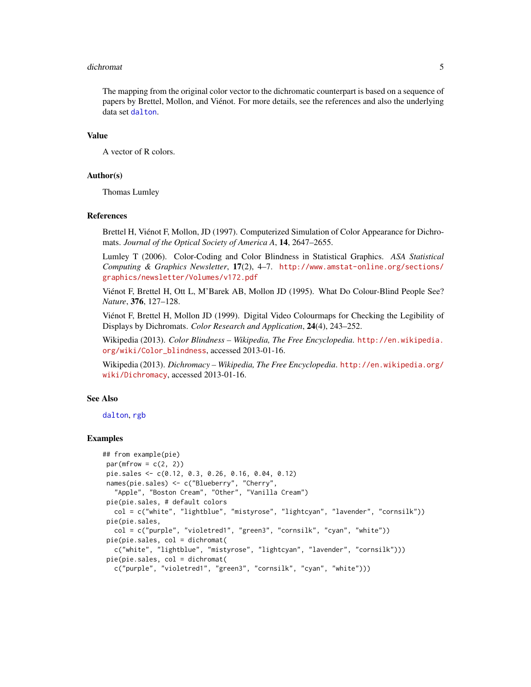#### <span id="page-4-0"></span>dichromat 5 and 5 and 5 and 5 and 5 and 5 and 5 and 5 and 5 and 5 and 5 and 5 and 5 and 5 and 5 and 5 and 5 and 5 and 5 and 5 and 5 and 5 and 5 and 5 and 5 and 5 and 5 and 5 and 5 and 5 and 5 and 5 and 5 and 5 and 5 and 5

The mapping from the original color vector to the dichromatic counterpart is based on a sequence of papers by Brettel, Mollon, and Viénot. For more details, see the references and also the underlying data set [dalton](#page-2-1).

#### Value

A vector of R colors.

#### Author(s)

Thomas Lumley

#### References

Brettel H, Viénot F, Mollon, JD (1997). Computerized Simulation of Color Appearance for Dichromats. *Journal of the Optical Society of America A*, 14, 2647–2655.

Lumley T (2006). Color-Coding and Color Blindness in Statistical Graphics. *ASA Statistical Computing & Graphics Newsletter*, 17(2), 4–7. [http://www.amstat-online.org/sections/](http://www.amstat-online.org/sections/graphics/newsletter/Volumes/v172.pdf) [graphics/newsletter/Volumes/v172.pdf](http://www.amstat-online.org/sections/graphics/newsletter/Volumes/v172.pdf)

Viénot F, Brettel H, Ott L, M'Barek AB, Mollon JD (1995). What Do Colour-Blind People See? *Nature*, 376, 127–128.

Viénot F, Brettel H, Mollon JD (1999). Digital Video Colourmaps for Checking the Legibility of Displays by Dichromats. *Color Research and Application*, 24(4), 243–252.

Wikipedia (2013). *Color Blindness – Wikipedia, The Free Encyclopedia*. [http://en.wikipedia.](http://en.wikipedia.org/wiki/Color_blindness) [org/wiki/Color\\_blindness](http://en.wikipedia.org/wiki/Color_blindness), accessed 2013-01-16.

Wikipedia (2013). *Dichromacy – Wikipedia, The Free Encyclopedia*. [http://en.wikipedia.org/](http://en.wikipedia.org/wiki/Dichromacy) [wiki/Dichromacy](http://en.wikipedia.org/wiki/Dichromacy), accessed 2013-01-16.

#### See Also

[dalton](#page-2-1), [rgb](#page-0-1)

#### Examples

```
## from example(pie)
par(mfrow = c(2, 2))pie.sales <- c(0.12, 0.3, 0.26, 0.16, 0.04, 0.12)
names(pie.sales) <- c("Blueberry", "Cherry",
  "Apple", "Boston Cream", "Other", "Vanilla Cream")
pie(pie.sales, # default colors
  col = c("white", "lightblue", "mistyrose", "lightcyan", "lavender", "cornsilk"))
pie(pie.sales,
  col = c("purple", "violetred1", "green3", "cornsilk", "cyan", "white"))
pie(pie.sales, col = dichromat(
  c("white", "lightblue", "mistyrose", "lightcyan", "lavender", "cornsilk")))
pie(pie.sales, col = dichromat(
  c("purple", "violetred1", "green3", "cornsilk", "cyan", "white")))
```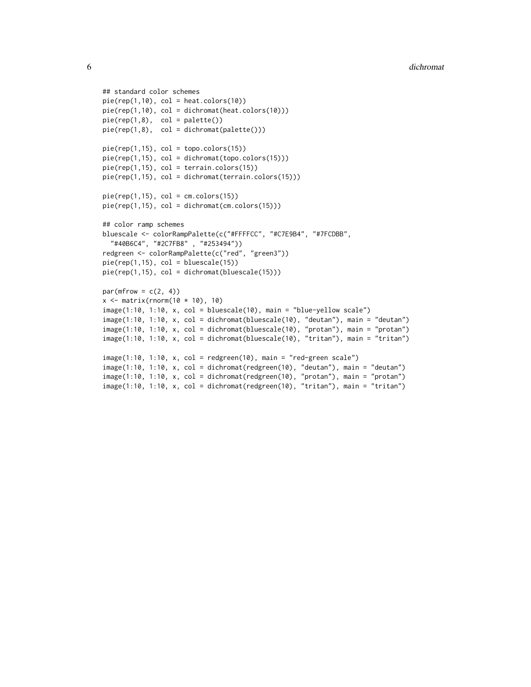```
## standard color schemes
pie(rep(1,10), col = heat.close(10))pie(rep(1,10), col = dichromat(heat.colors(10)))
pie(rep(1,8), col = palette())pie(rep(1,8), col = dichromat(palette()))
pie(rep(1,15), col = topo.colors(15))pie(rep(1,15), col = dichromat(topo.colors(15)))
pie(rep(1,15), col = terrain.colors(15))
pie(rep(1,15), col = dichromat(terrain.colors(15)))
pie(rep(1,15), col = cm.colors(15))pie(rep(1,15), col = dichromat(cm.colors(15)))
## color ramp schemes
bluescale <- colorRampPalette(c("#FFFFCC", "#C7E9B4", "#7FCDBB",
  "#40B6C4", "#2C7FB8" , "#253494"))
redgreen <- colorRampPalette(c("red", "green3"))
pie(rep(1,15), col = bluescale(15))pie(rep(1,15), col = dichromat(bluescale(15)))
par(mfrow = c(2, 4))x \le matrix(rnorm(10 * 10), 10)
image(1:10, 1:10, x, col = bluescale(10), main = "blue-yellow scale")image(1:10, 1:10, x, col = dichromat(bluescale(10), "deutan"), main = "deutan")
image(1:10, 1:10, x, col = dichromat(bluescale(10), "protan"), main = "protan")
image(1:10, 1:10, x, col = dichromat(bluescale(10), "tritan"), main = "tritan")
image(1:10, 1:10, x, col = redgreen(10), main = "red-green scale")
image(1:10, 1:10, x, col = dichromat(redgreen(10), "deutan"), main = "deutan")
image(1:10, 1:10, x, col = dichromat(redgreen(10), "protan"), main = "protan")
image(1:10, 1:10, x, col = dichromat(redgreen(10), "tritan"), main = "tritan")
```